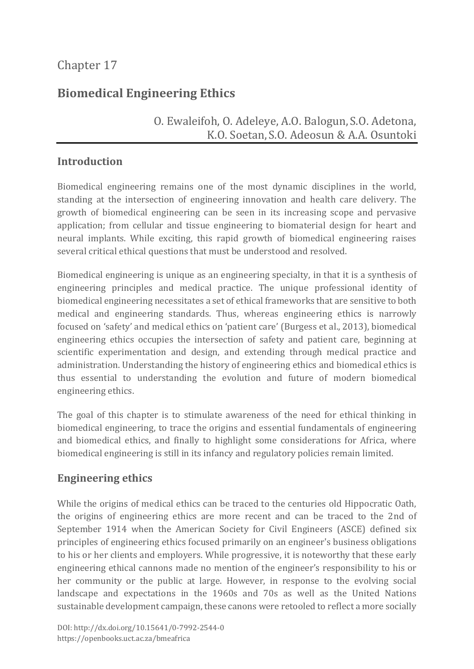# **Biomedical Engineering Ethics**

## O. Ewaleifoh, O. Adeleye, A.O. Balogun, S.O. Adetona, K.O. Soetan, S.O. Adeosun & A.A. Osuntoki

## **Introduction**

Biomedical engineering remains one of the most dynamic disciplines in the world, standing at the intersection of engineering innovation and health care delivery. The growth of biomedical engineering can be seen in its increasing scope and pervasive application; from cellular and tissue engineering to biomaterial design for heart and neural implants. While exciting, this rapid growth of biomedical engineering raises several critical ethical questions that must be understood and resolved.

Biomedical engineering is unique as an engineering specialty, in that it is a synthesis of engineering principles and medical practice. The unique professional identity of biomedical engineering necessitates a set of ethical frameworks that are sensitive to both medical and engineering standards. Thus, whereas engineering ethics is narrowly focused on 'safety' and medical ethics on 'patient care' (Burgess et al., 2013), biomedical engineering ethics occupies the intersection of safety and patient care, beginning at scientific experimentation and design, and extending through medical practice and administration. Understanding the history of engineering ethics and biomedical ethics is thus essential to understanding the evolution and future of modern biomedical engineering ethics.

The goal of this chapter is to stimulate awareness of the need for ethical thinking in biomedical engineering, to trace the origins and essential fundamentals of engineering and biomedical ethics, and finally to highlight some considerations for Africa, where biomedical engineering is still in its infancy and regulatory policies remain limited.

## **Engineering ethics**

While the origins of medical ethics can be traced to the centuries old Hippocratic Oath, the origins of engineering ethics are more recent and can be traced to the 2nd of September 1914 when the American Society for Civil Engineers (ASCE) defined six principles of engineering ethics focused primarily on an engineer's business obligations to his or her clients and employers. While progressive, it is noteworthy that these early engineering ethical cannons made no mention of the engineer's responsibility to his or her community or the public at large. However, in response to the evolving social landscape and expectations in the 1960s and 70s as well as the United Nations sustainable development campaign, these canons were retooled to reflect a more socially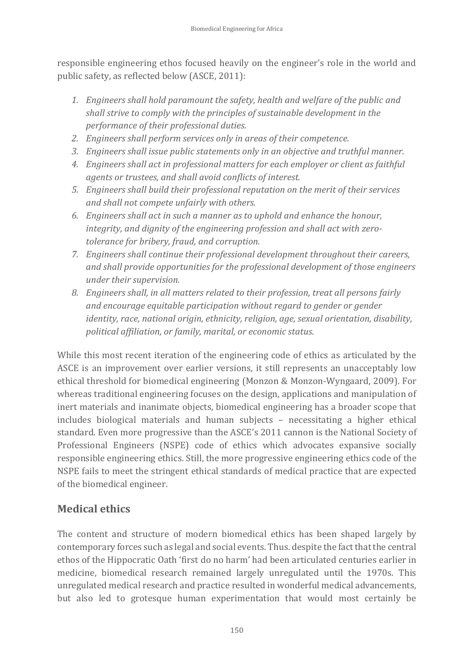responsible engineering ethos focused heavily on the engineer's role in the world and public safety, as reflected below (ASCE, 2011):

- *1. Engineers shall hold paramount the safety, health and welfare of the public and shall strive to comply with the principles of sustainable development in the performance of their professional duties.*
- *2. Engineers shall perform services only in areas of their competence.*
- *3. Engineers shall issue public statements only in an objective and truthful manner.*
- *4. Engineers shall act in professional matters for each employer or client as faithful agents or trustees, and shall avoid conflicts of interest.*
- *5. Engineers shall build their professional reputation on the merit of their services and shall not compete unfairly with others.*
- *6. Engineers shall act in such a manner as to uphold and enhance the honour, integrity, and dignity of the engineering profession and shall act with zerotolerance for bribery, fraud, and corruption.*
- *7. Engineers shall continue their professional development throughout their careers, and shall provide opportunities for the professional development of those engineers under their supervision.*
- *8. Engineers shall, in all matters related to their profession, treat all persons fairly and encourage equitable participation without regard to gender or gender identity, race, national origin, ethnicity, religion, age, sexual orientation, disability, political affiliation, or family, marital, or economic status.*

While this most recent iteration of the engineering code of ethics as articulated by the ASCE is an improvement over earlier versions, it still represents an unacceptably low ethical threshold for biomedical engineering (Monzon & Monzon-Wyngaard, 2009). For whereas traditional engineering focuses on the design, applications and manipulation of inert materials and inanimate objects, biomedical engineering has a broader scope that includes biological materials and human subjects – necessitating a higher ethical standard. Even more progressive than the ASCE's 2011 cannon is the National Society of Professional Engineers (NSPE) code of ethics which advocates expansive socially responsible engineering ethics. Still, the more progressive engineering ethics code of the NSPE fails to meet the stringent ethical standards of medical practice that are expected of the biomedical engineer.

# **Medical ethics**

The content and structure of modern biomedical ethics has been shaped largely by contemporary forces such as legal and social events. Thus. despite the fact that the central ethos of the Hippocratic Oath 'first do no harm' had been articulated centuries earlier in medicine, biomedical research remained largely unregulated until the 1970s. This unregulated medical research and practice resulted in wonderful medical advancements, but also led to grotesque human experimentation that would most certainly be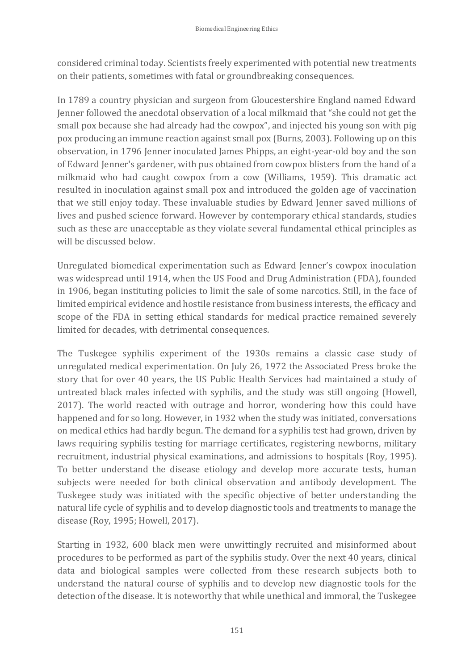considered criminal today. Scientists freely experimented with potential new treatments on their patients, sometimes with fatal or groundbreaking consequences.

In 1789 a country physician and surgeon from Gloucestershire England named Edward Jenner followed the anecdotal observation of a local milkmaid that "she could not get the small pox because she had already had the cowpox", and injected his young son with pig pox producing an immune reaction against small pox (Burns, 2003). Following up on this observation, in 1796 Jenner inoculated James Phipps, an eight-year-old boy and the son of Edward Jenner's gardener, with pus obtained from cowpox blisters from the hand of a milkmaid who had caught cowpox from a cow (Williams, 1959). This dramatic act resulted in inoculation against small pox and introduced the golden age of vaccination that we still enjoy today. These invaluable studies by Edward Jenner saved millions of lives and pushed science forward. However by contemporary ethical standards, studies such as these are unacceptable as they violate several fundamental ethical principles as will be discussed below.

Unregulated biomedical experimentation such as Edward Jenner's cowpox inoculation was widespread until 1914, when the US Food and Drug Administration (FDA), founded in 1906, began instituting policies to limit the sale of some narcotics. Still, in the face of limited empirical evidence and hostile resistance from business interests, the efficacy and scope of the FDA in setting ethical standards for medical practice remained severely limited for decades, with detrimental consequences.

The Tuskegee syphilis experiment of the 1930s remains a classic case study of unregulated medical experimentation. On July 26, 1972 the Associated Press broke the story that for over 40 years, the US Public Health Services had maintained a study of untreated black males infected with syphilis, and the study was still ongoing (Howell, 2017). The world reacted with outrage and horror, wondering how this could have happened and for so long. However, in 1932 when the study was initiated, conversations on medical ethics had hardly begun. The demand for a syphilis test had grown, driven by laws requiring syphilis testing for marriage certificates, registering newborns, military recruitment, industrial physical examinations, and admissions to hospitals (Roy, 1995). To better understand the disease etiology and develop more accurate tests, human subjects were needed for both clinical observation and antibody development. The Tuskegee study was initiated with the specific objective of better understanding the natural life cycle of syphilis and to develop diagnostic tools and treatments to manage the disease (Roy, 1995; Howell, 2017).

Starting in 1932, 600 black men were unwittingly recruited and misinformed about procedures to be performed as part of the syphilis study. Over the next 40 years, clinical data and biological samples were collected from these research subjects both to understand the natural course of syphilis and to develop new diagnostic tools for the detection of the disease. It is noteworthy that while unethical and immoral, the Tuskegee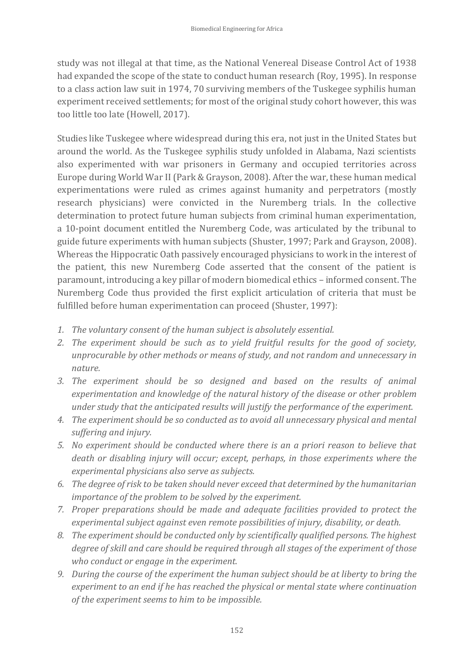study was not illegal at that time, as the National Venereal Disease Control Act of 1938 had expanded the scope of the state to conduct human research (Roy, 1995). In response to a class action law suit in 1974, 70 surviving members of the Tuskegee syphilis human experiment received settlements; for most of the original study cohort however, this was too little too late (Howell, 2017).

Studies like Tuskegee where widespread during this era, not just in the United States but around the world. As the Tuskegee syphilis study unfolded in Alabama, Nazi scientists also experimented with war prisoners in Germany and occupied territories across Europe during World War II (Park & Grayson, 2008). After the war, these human medical experimentations were ruled as crimes against humanity and perpetrators (mostly research physicians) were convicted in the Nuremberg trials. In the collective determination to protect future human subjects from criminal human experimentation, a 10-point document entitled the Nuremberg Code, was articulated by the tribunal to guide future experiments with human subjects (Shuster, 1997; Park and Grayson, 2008). Whereas the Hippocratic Oath passively encouraged physicians to work in the interest of the patient, this new Nuremberg Code asserted that the consent of the patient is paramount, introducing a key pillar of modern biomedical ethics – informed consent. The Nuremberg Code thus provided the first explicit articulation of criteria that must be fulfilled before human experimentation can proceed (Shuster, 1997):

- *1. The voluntary consent of the human subject is absolutely essential.*
- *2. The experiment should be such as to yield fruitful results for the good of society, unprocurable by other methods or means of study, and not random and unnecessary in nature.*
- *3. The experiment should be so designed and based on the results of animal experimentation and knowledge of the natural history of the disease or other problem under study that the anticipated results will justify the performance of the experiment.*
- *4. The experiment should be so conducted as to avoid all unnecessary physical and mental suffering and injury.*
- *5. No experiment should be conducted where there is an a priori reason to believe that death or disabling injury will occur; except, perhaps, in those experiments where the experimental physicians also serve as subjects.*
- *6. The degree of risk to be taken should never exceed that determined by the humanitarian importance of the problem to be solved by the experiment.*
- *7. Proper preparations should be made and adequate facilities provided to protect the experimental subject against even remote possibilities of injury, disability, or death.*
- *8. The experiment should be conducted only by scientifically qualified persons. The highest degree of skill and care should be required through all stages of the experiment of those who conduct or engage in the experiment.*
- *9. During the course of the experiment the human subject should be at liberty to bring the experiment to an end if he has reached the physical or mental state where continuation of the experiment seems to him to be impossible.*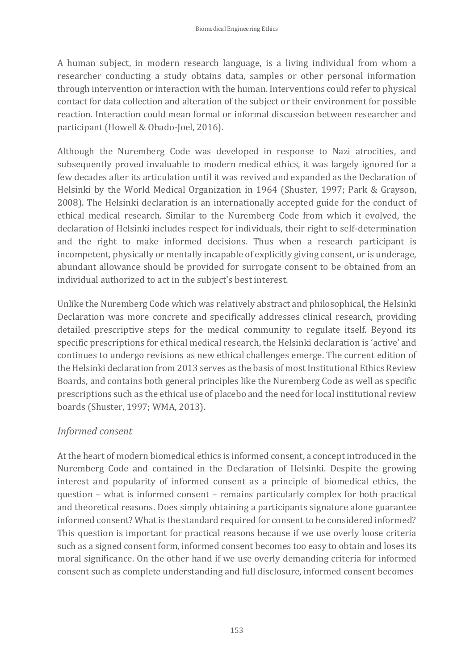A human subject, in modern research language, is a living individual from whom a researcher conducting a study obtains data, samples or other personal information through intervention or interaction with the human. Interventions could refer to physical contact for data collection and alteration of the subject or their environment for possible reaction. Interaction could mean formal or informal discussion between researcher and participant (Howell & Obado-Joel, 2016).

Although the Nuremberg Code was developed in response to Nazi atrocities, and subsequently proved invaluable to modern medical ethics, it was largely ignored for a few decades after its articulation until it was revived and expanded as the Declaration of Helsinki by the World Medical Organization in 1964 (Shuster, 1997; Park & Grayson, 2008). The Helsinki declaration is an internationally accepted guide for the conduct of ethical medical research. Similar to the Nuremberg Code from which it evolved, the declaration of Helsinki includes respect for individuals, their right to self-determination and the right to make informed decisions. Thus when a research participant is incompetent, physically or mentally incapable of explicitly giving consent, or is underage, abundant allowance should be provided for surrogate consent to be obtained from an individual authorized to act in the subject's best interest.

Unlike the Nuremberg Code which was relatively abstract and philosophical, the Helsinki Declaration was more concrete and specifically addresses clinical research, providing detailed prescriptive steps for the medical community to regulate itself. Beyond its specific prescriptions for ethical medical research, the Helsinki declaration is 'active' and continues to undergo revisions as new ethical challenges emerge. The current edition of the Helsinki declaration from 2013 serves as the basis of most Institutional Ethics Review Boards, and contains both general principles like the Nuremberg Code as well as specific prescriptions such as the ethical use of placebo and the need for local institutional review boards (Shuster, 1997; WMA, 2013).

### *Informed consent*

At the heart of modern biomedical ethics is informed consent, a concept introduced in the Nuremberg Code and contained in the Declaration of Helsinki. Despite the growing interest and popularity of informed consent as a principle of biomedical ethics, the question – what is informed consent – remains particularly complex for both practical and theoretical reasons. Does simply obtaining a participants signature alone guarantee informed consent? What is the standard required for consent to be considered informed? This question is important for practical reasons because if we use overly loose criteria such as a signed consent form, informed consent becomes too easy to obtain and loses its moral significance. On the other hand if we use overly demanding criteria for informed consent such as complete understanding and full disclosure, informed consent becomes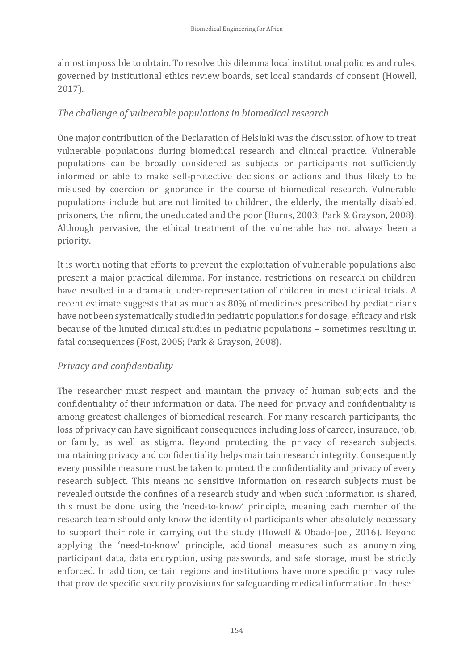almost impossible to obtain. To resolve this dilemma local institutional policies and rules, governed by institutional ethics review boards, set local standards of consent (Howell, 2017).

### *The challenge of vulnerable populations in biomedical research*

One major contribution of the Declaration of Helsinki was the discussion of how to treat vulnerable populations during biomedical research and clinical practice. Vulnerable populations can be broadly considered as subjects or participants not sufficiently informed or able to make self-protective decisions or actions and thus likely to be misused by coercion or ignorance in the course of biomedical research. Vulnerable populations include but are not limited to children, the elderly, the mentally disabled, prisoners, the infirm, the uneducated and the poor (Burns, 2003; Park & Grayson, 2008). Although pervasive, the ethical treatment of the vulnerable has not always been a priority.

It is worth noting that efforts to prevent the exploitation of vulnerable populations also present a major practical dilemma. For instance, restrictions on research on children have resulted in a dramatic under-representation of children in most clinical trials. A recent estimate suggests that as much as 80% of medicines prescribed by pediatricians have not been systematically studied in pediatric populations for dosage, efficacy and risk because of the limited clinical studies in pediatric populations – sometimes resulting in fatal consequences (Fost, 2005; Park & Grayson, 2008).

#### *Privacy and confidentiality*

The researcher must respect and maintain the privacy of human subjects and the confidentiality of their information or data. The need for privacy and confidentiality is among greatest challenges of biomedical research. For many research participants, the loss of privacy can have significant consequences including loss of career, insurance, job, or family, as well as stigma. Beyond protecting the privacy of research subjects, maintaining privacy and confidentiality helps maintain research integrity. Consequently every possible measure must be taken to protect the confidentiality and privacy of every research subject. This means no sensitive information on research subjects must be revealed outside the confines of a research study and when such information is shared, this must be done using the 'need-to-know' principle, meaning each member of the research team should only know the identity of participants when absolutely necessary to support their role in carrying out the study (Howell & Obado-Joel, 2016). Beyond applying the 'need-to-know' principle, additional measures such as anonymizing participant data, data encryption, using passwords, and safe storage, must be strictly enforced. In addition, certain regions and institutions have more specific privacy rules that provide specific security provisions for safeguarding medical information. In these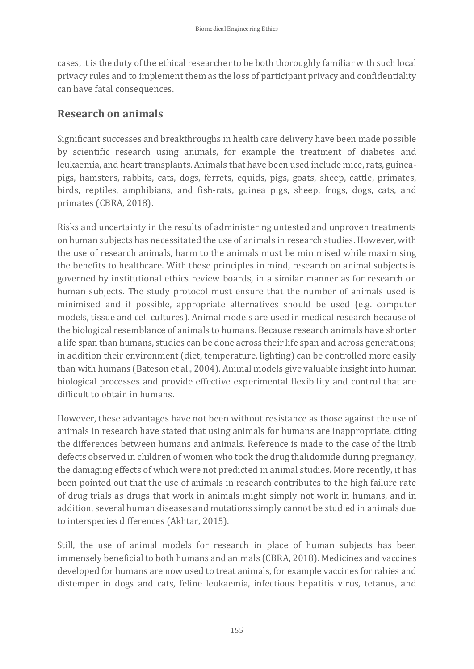cases, it is the duty of the ethical researcher to be both thoroughly familiar with such local privacy rules and to implement them as the loss of participant privacy and confidentiality can have fatal consequences.

### **Research on animals**

Significant successes and breakthroughs in health care delivery have been made possible by scientific research using animals, for example the treatment of diabetes and leukaemia, and heart transplants. Animals that have been used include mice, rats, guineapigs, hamsters, rabbits, cats, dogs, ferrets, equids, pigs, goats, sheep, cattle, primates, birds, reptiles, amphibians, and fish-rats, guinea pigs, sheep, frogs, dogs, cats, and primates (CBRA, 2018).

Risks and uncertainty in the results of administering untested and unproven treatments on human subjects has necessitated the use of animals in research studies. However, with the use of research animals, harm to the animals must be minimised while maximising the benefits to healthcare. With these principles in mind, research on animal subjects is governed by institutional ethics review boards, in a similar manner as for research on human subjects. The study protocol must ensure that the number of animals used is minimised and if possible, appropriate alternatives should be used (e.g. computer models, tissue and cell cultures). Animal models are used in medical research because of the biological resemblance of animals to humans. Because research animals have shorter a life span than humans, studies can be done across their life span and across generations; in addition their environment (diet, temperature, lighting) can be controlled more easily than with humans (Bateson et al., 2004). Animal models give valuable insight into human biological processes and provide effective experimental flexibility and control that are difficult to obtain in humans.

However, these advantages have not been without resistance as those against the use of animals in research have stated that using animals for humans are inappropriate, citing the differences between humans and animals. Reference is made to the case of the limb defects observed in children of women who took the drug thalidomide during pregnancy, the damaging effects of which were not predicted in animal studies. More recently, it has been pointed out that the use of animals in research contributes to the high failure rate of drug trials as drugs that work in animals might simply not work in humans, and in addition, several human diseases and mutations simply cannot be studied in animals due to interspecies differences (Akhtar, 2015).

Still, the use of animal models for research in place of human subjects has been immensely beneficial to both humans and animals (CBRA, 2018). Medicines and vaccines developed for humans are now used to treat animals, for example vaccines for rabies and distemper in dogs and cats, feline leukaemia, infectious hepatitis virus, tetanus, and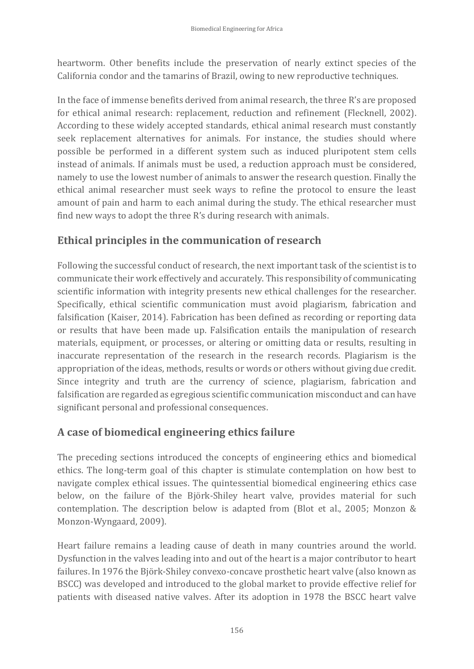heartworm. Other benefits include the preservation of nearly extinct species of the California condor and the tamarins of Brazil, owing to new reproductive techniques.

In the face of immense benefits derived from animal research, the three R's are proposed for ethical animal research: replacement, reduction and refinement (Flecknell, 2002). According to these widely accepted standards, ethical animal research must constantly seek replacement alternatives for animals. For instance, the studies should where possible be performed in a different system such as induced pluripotent stem cells instead of animals. If animals must be used, a reduction approach must be considered, namely to use the lowest number of animals to answer the research question. Finally the ethical animal researcher must seek ways to refine the protocol to ensure the least amount of pain and harm to each animal during the study. The ethical researcher must find new ways to adopt the three R's during research with animals.

### **Ethical principles in the communication of research**

Following the successful conduct of research, the next important task of the scientist is to communicate their work effectively and accurately. This responsibility of communicating scientific information with integrity presents new ethical challenges for the researcher. Specifically, ethical scientific communication must avoid plagiarism, fabrication and falsification (Kaiser, 2014). Fabrication has been defined as recording or reporting data or results that have been made up. Falsification entails the manipulation of research materials, equipment, or processes, or altering or omitting data or results, resulting in inaccurate representation of the research in the research records. Plagiarism is the appropriation of the ideas, methods, results or words or others without giving due credit. Since integrity and truth are the currency of science, plagiarism, fabrication and falsification are regarded as egregious scientific communication misconduct and can have significant personal and professional consequences.

## **A case of biomedical engineering ethics failure**

The preceding sections introduced the concepts of engineering ethics and biomedical ethics. The long-term goal of this chapter is stimulate contemplation on how best to navigate complex ethical issues. The quintessential biomedical engineering ethics case below, on the failure of the Björk-Shiley heart valve, provides material for such contemplation. The description below is adapted from (Blot et al., 2005; Monzon & Monzon-Wyngaard, 2009).

Heart failure remains a leading cause of death in many countries around the world. Dysfunction in the valves leading into and out of the heart is a major contributor to heart failures. In 1976 the Björk-Shiley convexo-concave prosthetic heart valve (also known as BSCC) was developed and introduced to the global market to provide effective relief for patients with diseased native valves. After its adoption in 1978 the BSCC heart valve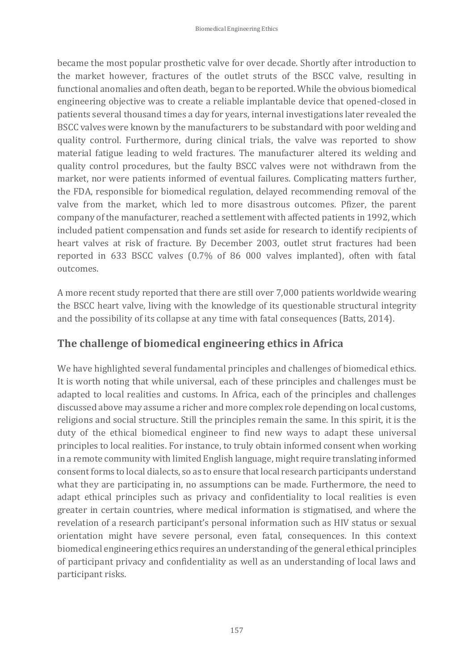became the most popular prosthetic valve for over decade. Shortly after introduction to the market however, fractures of the outlet struts of the BSCC valve, resulting in functional anomalies and often death, began to be reported. While the obvious biomedical engineering objective was to create a reliable implantable device that opened-closed in patients several thousand times a day for years, internal investigations later revealed the BSCC valves were known by the manufacturers to be substandard with poor welding and quality control. Furthermore, during clinical trials, the valve was reported to show material fatigue leading to weld fractures. The manufacturer altered its welding and quality control procedures, but the faulty BSCC valves were not withdrawn from the market, nor were patients informed of eventual failures. Complicating matters further, the FDA, responsible for biomedical regulation, delayed recommending removal of the valve from the market, which led to more disastrous outcomes. Pfizer, the parent company of the manufacturer, reached a settlement with affected patients in 1992, which included patient compensation and funds set aside for research to identify recipients of heart valves at risk of fracture. By December 2003, outlet strut fractures had been reported in 633 BSCC valves (0.7% of 86 000 valves implanted), often with fatal outcomes.

A more recent study reported that there are still over 7,000 patients worldwide wearing the BSCC heart valve, living with the knowledge of its questionable structural integrity and the possibility of its collapse at any time with fatal consequences (Batts, 2014).

### **The challenge of biomedical engineering ethics in Africa**

We have highlighted several fundamental principles and challenges of biomedical ethics. It is worth noting that while universal, each of these principles and challenges must be adapted to local realities and customs. In Africa, each of the principles and challenges discussed above may assume a richer and more complex role depending on local customs, religions and social structure. Still the principles remain the same. In this spirit, it is the duty of the ethical biomedical engineer to find new ways to adapt these universal principles to local realities. For instance, to truly obtain informed consent when working in a remote community with limited English language, might require translating informed consent forms to local dialects, so as to ensure that local research participants understand what they are participating in, no assumptions can be made. Furthermore, the need to adapt ethical principles such as privacy and confidentiality to local realities is even greater in certain countries, where medical information is stigmatised, and where the revelation of a research participant's personal information such as HIV status or sexual orientation might have severe personal, even fatal, consequences. In this context biomedical engineering ethics requires an understanding of the general ethical principles of participant privacy and confidentiality as well as an understanding of local laws and participant risks.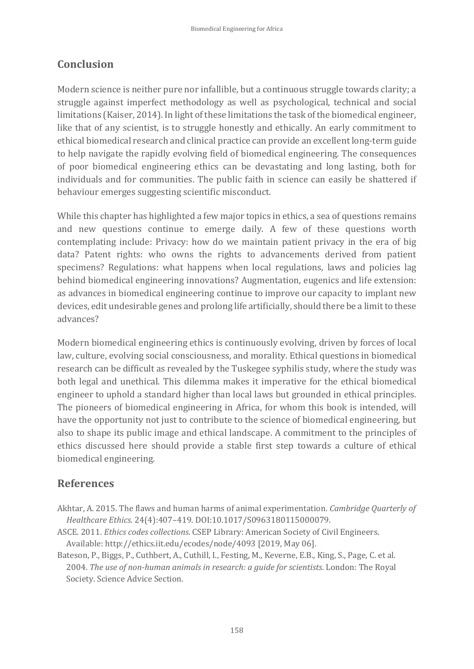# **Conclusion**

Modern science is neither pure nor infallible, but a continuous struggle towards clarity; a struggle against imperfect methodology as well as psychological, technical and social limitations (Kaiser, 2014). In light of these limitations the task of the biomedical engineer, like that of any scientist, is to struggle honestly and ethically. An early commitment to ethical biomedical research and clinical practice can provide an excellent long-term guide to help navigate the rapidly evolving field of biomedical engineering. The consequences of poor biomedical engineering ethics can be devastating and long lasting, both for individuals and for communities. The public faith in science can easily be shattered if behaviour emerges suggesting scientific misconduct.

While this chapter has highlighted a few major topics in ethics, a sea of questions remains and new questions continue to emerge daily. A few of these questions worth contemplating include: Privacy: how do we maintain patient privacy in the era of big data? Patent rights: who owns the rights to advancements derived from patient specimens? Regulations: what happens when local regulations, laws and policies lag behind biomedical engineering innovations? Augmentation, eugenics and life extension: as advances in biomedical engineering continue to improve our capacity to implant new devices, edit undesirable genes and prolong life artificially, should there be a limit to these advances?

Modern biomedical engineering ethics is continuously evolving, driven by forces of local law, culture, evolving social consciousness, and morality. Ethical questions in biomedical research can be difficult as revealed by the Tuskegee syphilis study, where the study was both legal and unethical. This dilemma makes it imperative for the ethical biomedical engineer to uphold a standard higher than local laws but grounded in ethical principles. The pioneers of biomedical engineering in Africa, for whom this book is intended, will have the opportunity not just to contribute to the science of biomedical engineering, but also to shape its public image and ethical landscape. A commitment to the principles of ethics discussed here should provide a stable first step towards a culture of ethical biomedical engineering.

## **References**

- Akhtar, A. 2015. The flaws and human harms of animal experimentation. *Cambridge Quarterly of Healthcare Ethics.* 24(4):407–419. DOI:10.1017/S0963180115000079.
- ASCE. 2011. *Ethics codes collections*. CSEP Library: American Society of Civil Engineers. Available: http://ethics.iit.edu/ecodes/node/4093 [2019, May 06].
- Bateson, P., Biggs, P., Cuthbert, A., Cuthill, I., Festing, M., Keverne, E.B., King, S., Page, C. et al. 2004. *The use of non-human animals in research: a guide for scientists*. London: The Royal Society. Science Advice Section.